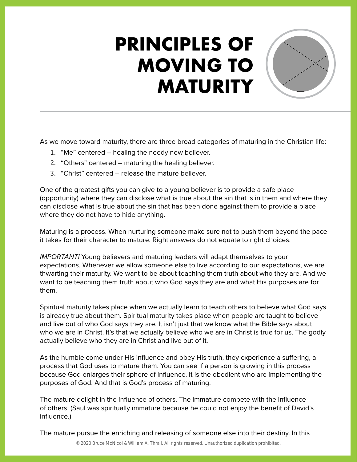## **PRINCIPLES OF MOVING TO MATURITY**



- 1. "Me" centered healing the needy new believer.
- 2. "Others" centered maturing the healing believer.
- 3. "Christ" centered release the mature believer.

One of the greatest gifts you can give to a young believer is to provide a safe place (opportunity) where they can disclose what is true about the sin that is in them and where they can disclose what is true about the sin that has been done against them to provide a place where they do not have to hide anything.

Maturing is a process. When nurturing someone make sure not to push them beyond the pace it takes for their character to mature. Right answers do not equate to right choices.

*IMPORTANT!* Young believers and maturing leaders will adapt themselves to your expectations. Whenever we allow someone else to live according to our expectations, we are thwarting their maturity. We want to be about teaching them truth about who they are. And we want to be teaching them truth about who God says they are and what His purposes are for them.

Spiritual maturity takes place when we actually learn to teach others to believe what God says is already true about them. Spiritual maturity takes place when people are taught to believe and live out of who God says they are. It isn't just that we know what the Bible says about who we are in Christ. It's that we actually believe who we are in Christ is true for us. The godly actually believe who they are in Christ and live out of it.

As the humble come under His influence and obey His truth, they experience a suffering, a process that God uses to mature them. You can see if a person is growing in this process because God enlarges their sphere of influence. It is the obedient who are implementing the purposes of God. And that is God's process of maturing.

The mature delight in the influence of others. The immature compete with the influence of others. (Saul was spiritually immature because he could not enjoy the benefit of David's influence.)

The mature pursue the enriching and releasing of someone else into their destiny. In this

© 2020 Bruce McNicol & William A. Thrall. All rights reserved. Unauthorized duplication prohibited.